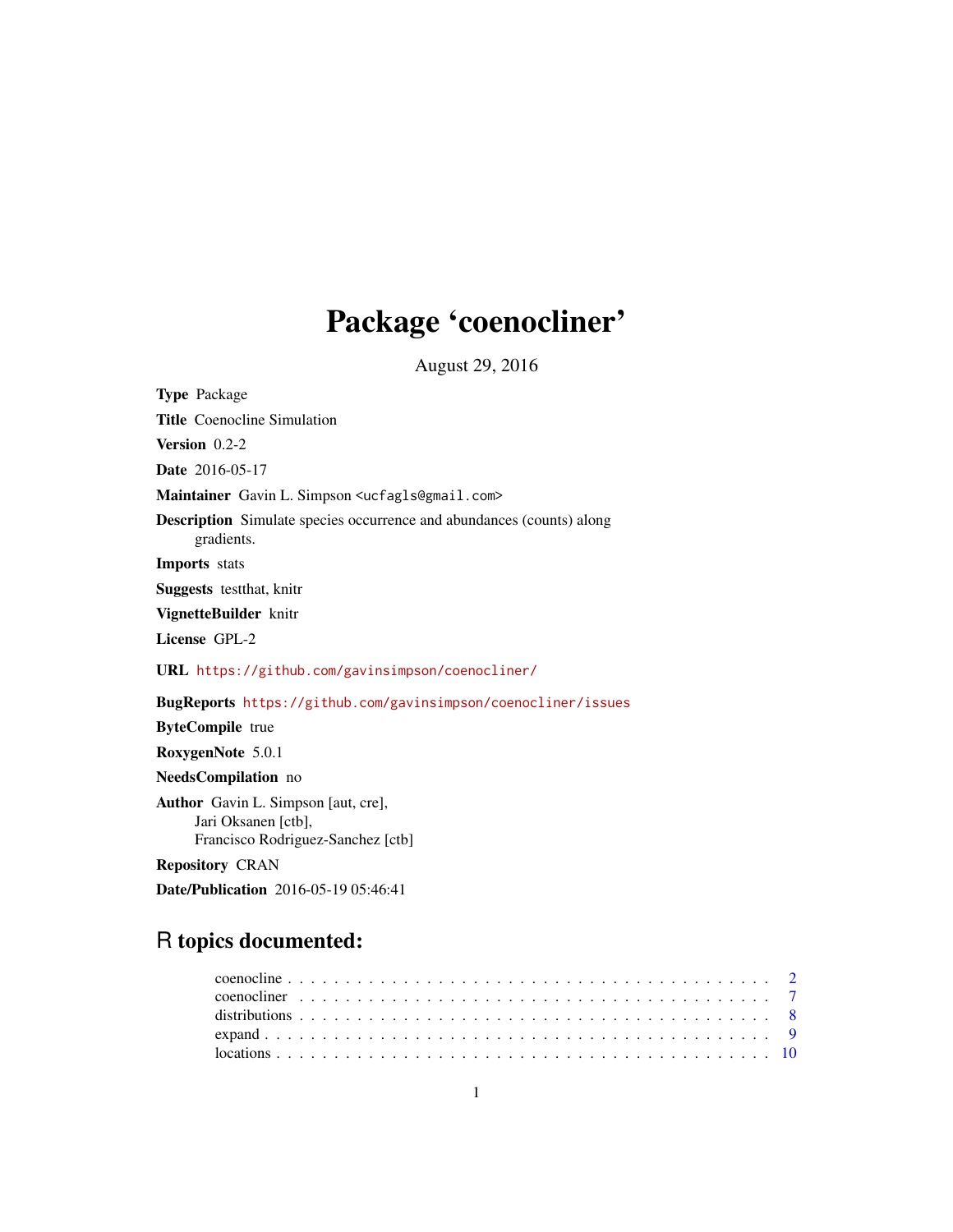# Package 'coenocliner'

August 29, 2016

<span id="page-0-0"></span>Type Package Title Coenocline Simulation Version 0.2-2 Date 2016-05-17 Maintainer Gavin L. Simpson <ucfagls@gmail.com> Description Simulate species occurrence and abundances (counts) along gradients. Imports stats Suggests testthat, knitr VignetteBuilder knitr License GPL-2 URL <https://github.com/gavinsimpson/coenocliner/> BugReports <https://github.com/gavinsimpson/coenocliner/issues> ByteCompile true RoxygenNote 5.0.1 NeedsCompilation no Author Gavin L. Simpson [aut, cre], Jari Oksanen [ctb], Francisco Rodriguez-Sanchez [ctb] Repository CRAN

Date/Publication 2016-05-19 05:46:41

## R topics documented: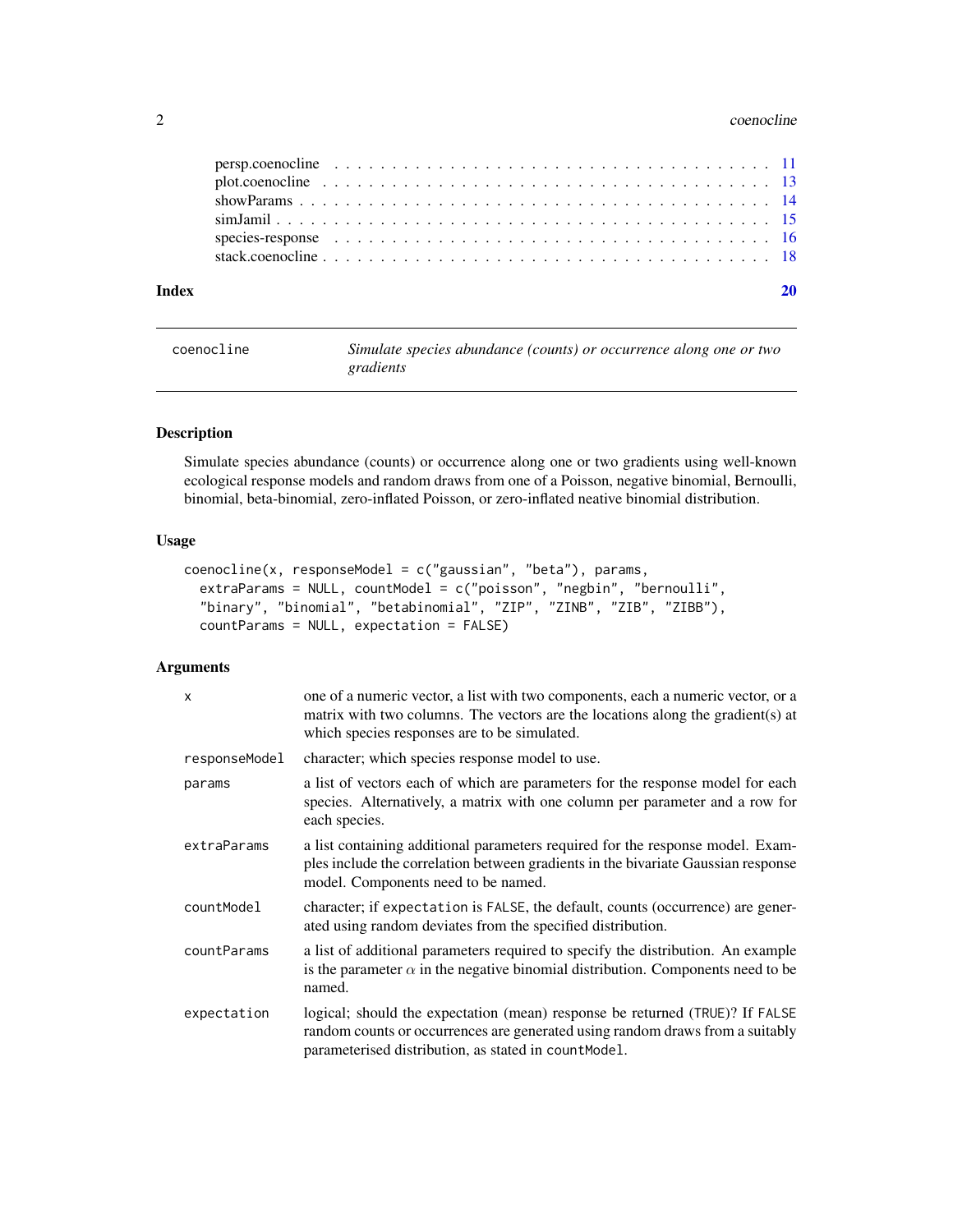#### <span id="page-1-0"></span>2 coenocline coenocline coenocline coenocline coenocline coenocline coenocline coenocline

| Index |                                                                                                        |  |
|-------|--------------------------------------------------------------------------------------------------------|--|
|       |                                                                                                        |  |
|       | species-response $\ldots \ldots \ldots \ldots \ldots \ldots \ldots \ldots \ldots \ldots \ldots \ldots$ |  |
|       |                                                                                                        |  |
|       |                                                                                                        |  |
|       |                                                                                                        |  |
|       |                                                                                                        |  |

<span id="page-1-1"></span>coenocline *Simulate species abundance (counts) or occurrence along one or two gradients*

#### Description

Simulate species abundance (counts) or occurrence along one or two gradients using well-known ecological response models and random draws from one of a Poisson, negative binomial, Bernoulli, binomial, beta-binomial, zero-inflated Poisson, or zero-inflated neative binomial distribution.

#### Usage

```
coenocline(x, responseModel = c("gaussian", "beta"), params,
  extraParams = NULL, countModel = c("poisson", "negbin", "bernoulli",
  "binary", "binomial", "betabinomial", "ZIP", "ZINB", "ZIB", "ZIBB"),
 countParams = NULL, expectation = FALSE)
```
#### Arguments

| $\mathsf{x}$  | one of a numeric vector, a list with two components, each a numeric vector, or a<br>matrix with two columns. The vectors are the locations along the gradient(s) at<br>which species responses are to be simulated.    |
|---------------|------------------------------------------------------------------------------------------------------------------------------------------------------------------------------------------------------------------------|
| responseModel | character; which species response model to use.                                                                                                                                                                        |
| params        | a list of vectors each of which are parameters for the response model for each<br>species. Alternatively, a matrix with one column per parameter and a row for<br>each species.                                        |
| extraParams   | a list containing additional parameters required for the response model. Exam-<br>ples include the correlation between gradients in the bivariate Gaussian response<br>model. Components need to be named.             |
| countModel    | character; if expectation is FALSE, the default, counts (occurrence) are gener-<br>ated using random deviates from the specified distribution.                                                                         |
| countParams   | a list of additional parameters required to specify the distribution. An example<br>is the parameter $\alpha$ in the negative binomial distribution. Components need to be<br>named.                                   |
| expectation   | logical; should the expectation (mean) response be returned (TRUE)? If FALSE<br>random counts or occurrences are generated using random draws from a suitably<br>parameterised distribution, as stated in count Model. |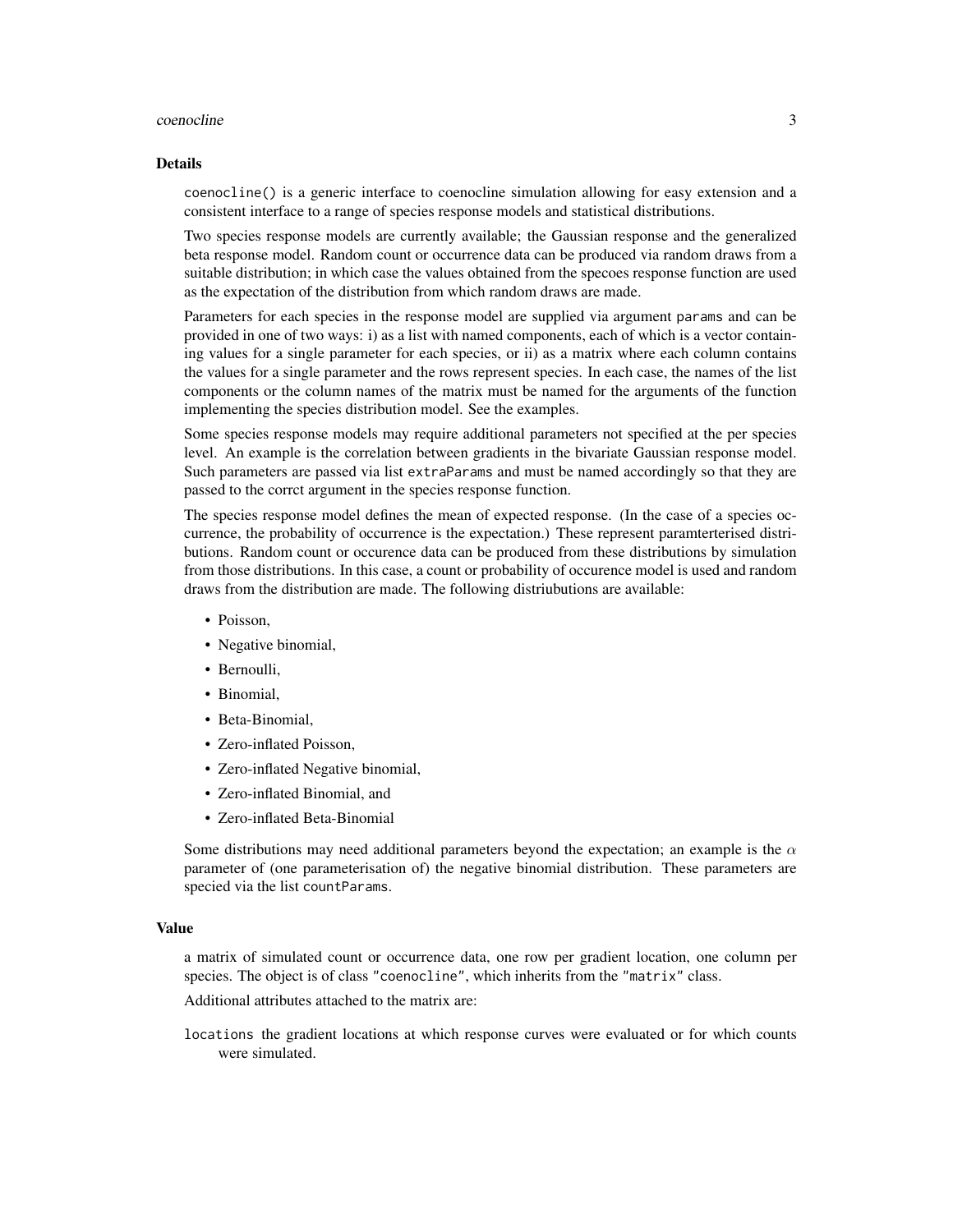#### coenocline 3

#### Details

coenocline() is a generic interface to coenocline simulation allowing for easy extension and a consistent interface to a range of species response models and statistical distributions.

Two species response models are currently available; the Gaussian response and the generalized beta response model. Random count or occurrence data can be produced via random draws from a suitable distribution; in which case the values obtained from the specoes response function are used as the expectation of the distribution from which random draws are made.

Parameters for each species in the response model are supplied via argument params and can be provided in one of two ways: i) as a list with named components, each of which is a vector containing values for a single parameter for each species, or ii) as a matrix where each column contains the values for a single parameter and the rows represent species. In each case, the names of the list components or the column names of the matrix must be named for the arguments of the function implementing the species distribution model. See the examples.

Some species response models may require additional parameters not specified at the per species level. An example is the correlation between gradients in the bivariate Gaussian response model. Such parameters are passed via list extraParams and must be named accordingly so that they are passed to the corrct argument in the species response function.

The species response model defines the mean of expected response. (In the case of a species occurrence, the probability of occurrence is the expectation.) These represent paramterterised distributions. Random count or occurence data can be produced from these distributions by simulation from those distributions. In this case, a count or probability of occurence model is used and random draws from the distribution are made. The following distriubutions are available:

- Poisson.
- Negative binomial,
- Bernoulli,
- Binomial,
- Beta-Binomial,
- Zero-inflated Poisson,
- Zero-inflated Negative binomial,
- Zero-inflated Binomial, and
- Zero-inflated Beta-Binomial

Some distributions may need additional parameters beyond the expectation; an example is the  $\alpha$ parameter of (one parameterisation of) the negative binomial distribution. These parameters are specied via the list countParams.

#### Value

a matrix of simulated count or occurrence data, one row per gradient location, one column per species. The object is of class "coenocline", which inherits from the "matrix" class.

Additional attributes attached to the matrix are:

locations the gradient locations at which response curves were evaluated or for which counts were simulated.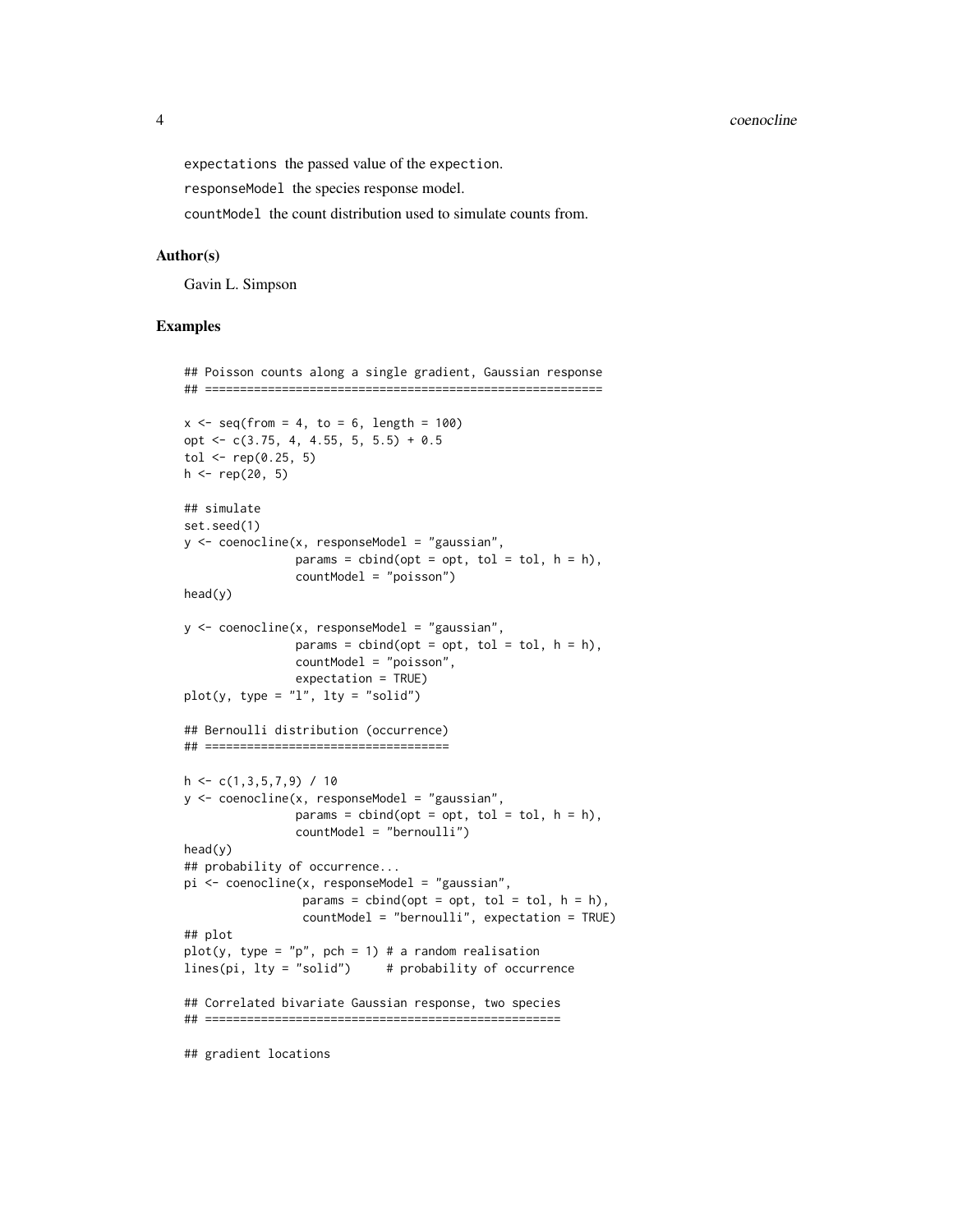expectations the passed value of the expection.

responseModel the species response model.

countModel the count distribution used to simulate counts from.

#### Author(s)

Gavin L. Simpson

```
## Poisson counts along a single gradient, Gaussian response
## =========================================================
x \le - seq(from = 4, to = 6, length = 100)
opt <- c(3.75, 4, 4.55, 5, 5.5) + 0.5
tol <- rep(0.25, 5)h \leq - rep(20, 5)## simulate
set.seed(1)
y <- coenocline(x, responseModel = "gaussian",
                params = cbind(opt = opt, tol = tol, h = h),
                countModel = "poisson")
head(y)
y \leq coenocline(x, responseModel = "gaussian",
                params = cbind(opt = opt, tol = tol, h = h),
                countModel = "poisson",
                expectation = TRUE)
plot(y, type = "l", lty = "solid")
## Bernoulli distribution (occurrence)
## ===================================
h \leq -c(1,3,5,7,9) / 10
y <- coenocline(x, responseModel = "gaussian",
                params = cbind(opt = opt, tol = tol, h = h),
                countModel = "bernoulli")
head(y)
## probability of occurrence...
pi <- coenocline(x, responseModel = "gaussian",
                 params = child(opt = opt, tol = tol, h = h),countModel = "bernoulli", expectation = TRUE)
## plot
plot(y, type = "p", pch = 1) # a random realisation
lines(pi, lty = "solid") # probability of occurrence
## Correlated bivariate Gaussian response, two species
## ===================================================
## gradient locations
```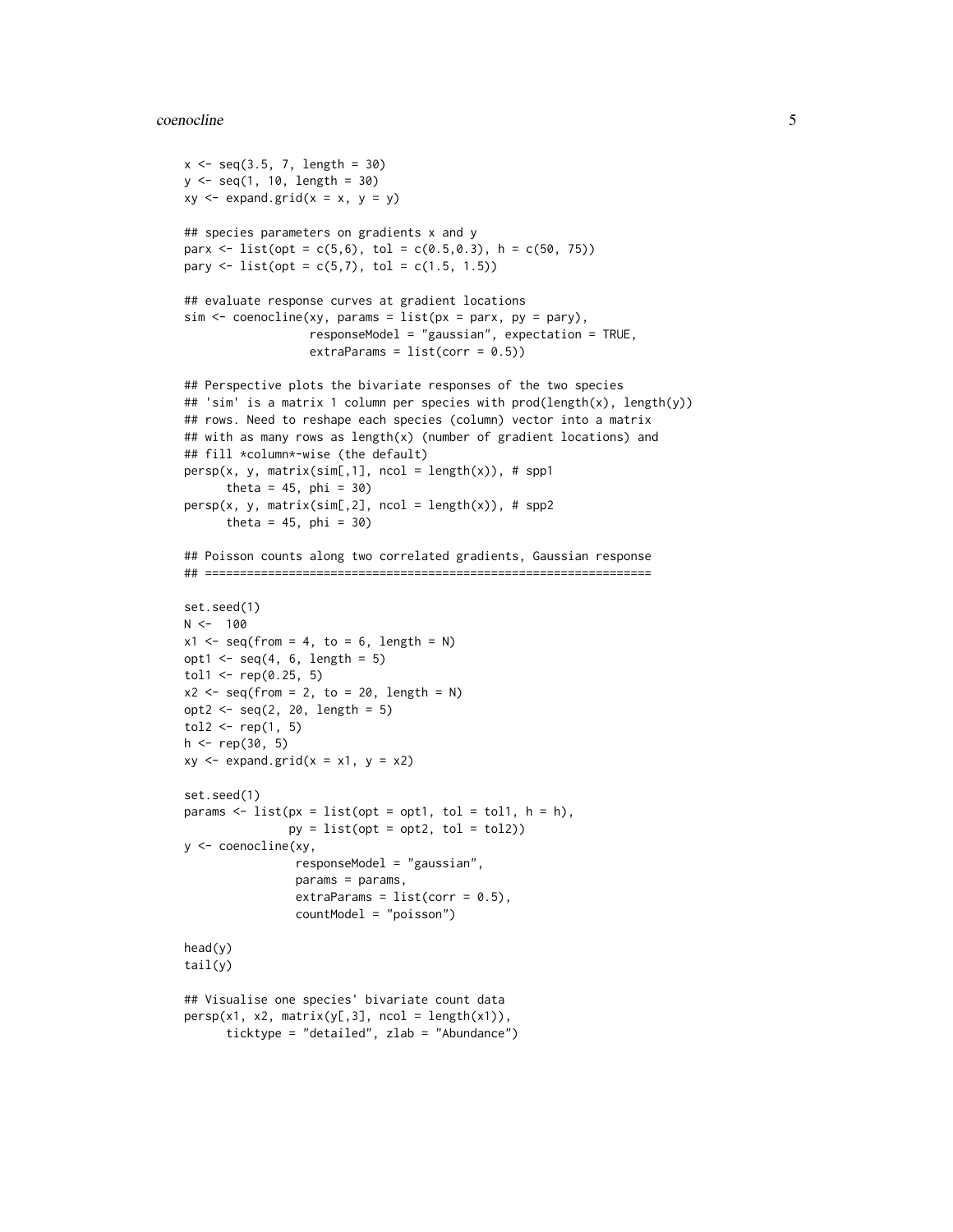#### coenocline 5

```
x \le - seq(3.5, 7, length = 30)
y <- seq(1, 10, length = 30)
xy \leftarrow expand.grid(x = x, y = y)
## species parameters on gradients x and y
parx <- list(opt = c(5,6), tol = c(0.5,0.3), h = c(50, 75))
pary \le list(opt = c(5,7), tol = c(1.5, 1.5))
## evaluate response curves at gradient locations
sim < coenocline(xy, params = list(px = parx, py = pary),
                   responseModel = "gaussian", expectation = TRUE,
                   extraParams = list(corr = 0.5))
## Perspective plots the bivariate responses of the two species
## 'sim' is a matrix 1 column per species with prod(length(x), length(y))
## rows. Need to reshape each species (column) vector into a matrix
## with as many rows as length(x) (number of gradient locations) and
## fill *column*-wise (the default)
persp(x, y, matrix(sim[, 1], ncol = length(x)), # spp1theta = 45, phi = 30)
persp(x, y, matrix(sim[, 2], ncol = length(x)), # spp2theta = 45, phi = 30)
## Poisson counts along two correlated gradients, Gaussian response
## ================================================================
set.seed(1)
N < - 100x1 \leq -\text{seq}(\text{from} = 4, \text{to} = 6, \text{length} = \text{N})opt1 \leq seq(4, 6, length = 5)
tol1 <- rep(0.25, 5)x2 \leq -\text{seq}(\text{from} = 2, \text{to} = 20, \text{length} = \text{N})opt2 \leq -seq(2, 20, length = 5)tol2 \leq rep(1, 5)h \leq -rep(30, 5)xy \le - expand.grid(x = x1, y = x2)
set.seed(1)
params \le list(px = list(opt = opt1, tol = tol1, h = h),
                py = list(opt = opt2, tol = tol2)y <- coenocline(xy,
                 responseModel = "gaussian",
                 params = params,
                 extraParams = list(corr = 0.5),
                 countModel = "poisson")
head(y)
tail(y)
## Visualise one species' bivariate count data
persp(x1, x2, matrix(y[,3], ncol = length(x1)),ticktype = "detailed", zlab = "Abundance")
```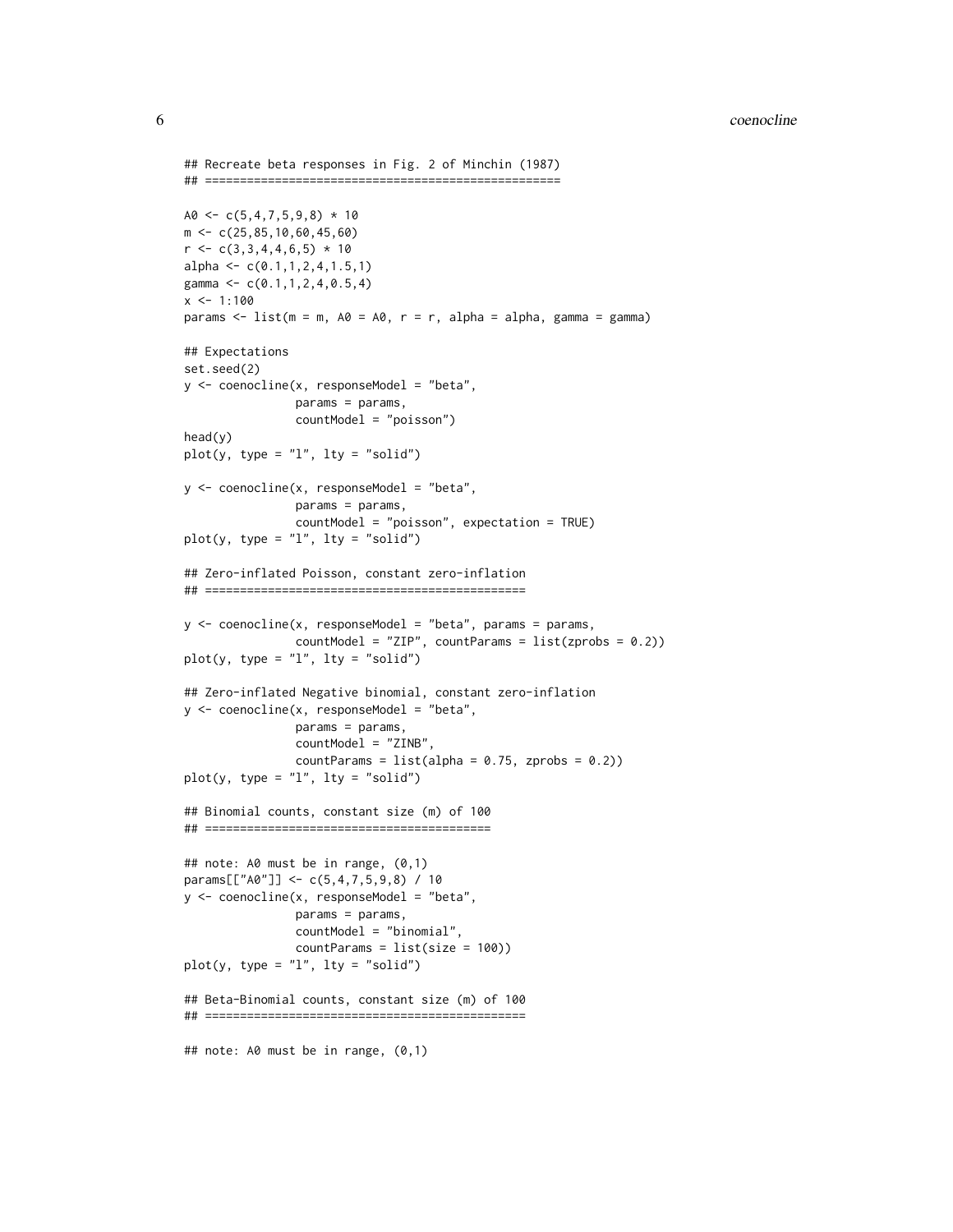```
## Recreate beta responses in Fig. 2 of Minchin (1987)
## ===================================================
A0 \leftarrow c(5,4,7,5,9,8) * 10m <- c(25,85,10,60,45,60)
r \leftarrow c(3,3,4,4,6,5) * 10alpha <- c(0.1, 1, 2, 4, 1.5, 1)gamma <- c(0.1,1,2,4,0.5,4)
x < -1:100params \le list(m = m, A0 = A0, r = r, alpha = alpha, gamma = gamma)
## Expectations
set.seed(2)
y \le - coenocline(x, responseModel = "beta",
                params = params,
                countModel = "poisson")
head(y)
plot(y, type = "l", lty = "solid")y \le - coenocline(x, responseModel = "beta",
                params = params,
                countModel = "poisson", expectation = TRUE)
plot(y, type = "l", lty = "solid")## Zero-inflated Poisson, constant zero-inflation
## ==============================================
y \le -\text{coenocline}(x, \text{responseModel} = \text{"beta", \text{params} = \text{params},countModel = "ZIP", countParams = list(zprobs = 0.2))
plot(y, type = "l", lty = "solid")## Zero-inflated Negative binomial, constant zero-inflation
y \le - coenocline(x, responseModel = "beta",
                params = params,
                countModel = "ZINB",
                countParams = list(alpha = 0.75, zprobs = 0.2)plot(y, type = "1", lty = "solid")
## Binomial counts, constant size (m) of 100
## =========================================
## note: A0 must be in range, (0,1)
params[["A0"]] <- c(5,4,7,5,9,8) / 10
y <- coenocline(x, responseModel = "beta",
                params = params,
                countModel = "binomial",
                countParams = list(size = 100))
plot(y, type = "l", lty = "solid")
## Beta-Binomial counts, constant size (m) of 100
## ==============================================
## note: A0 must be in range, (0,1)
```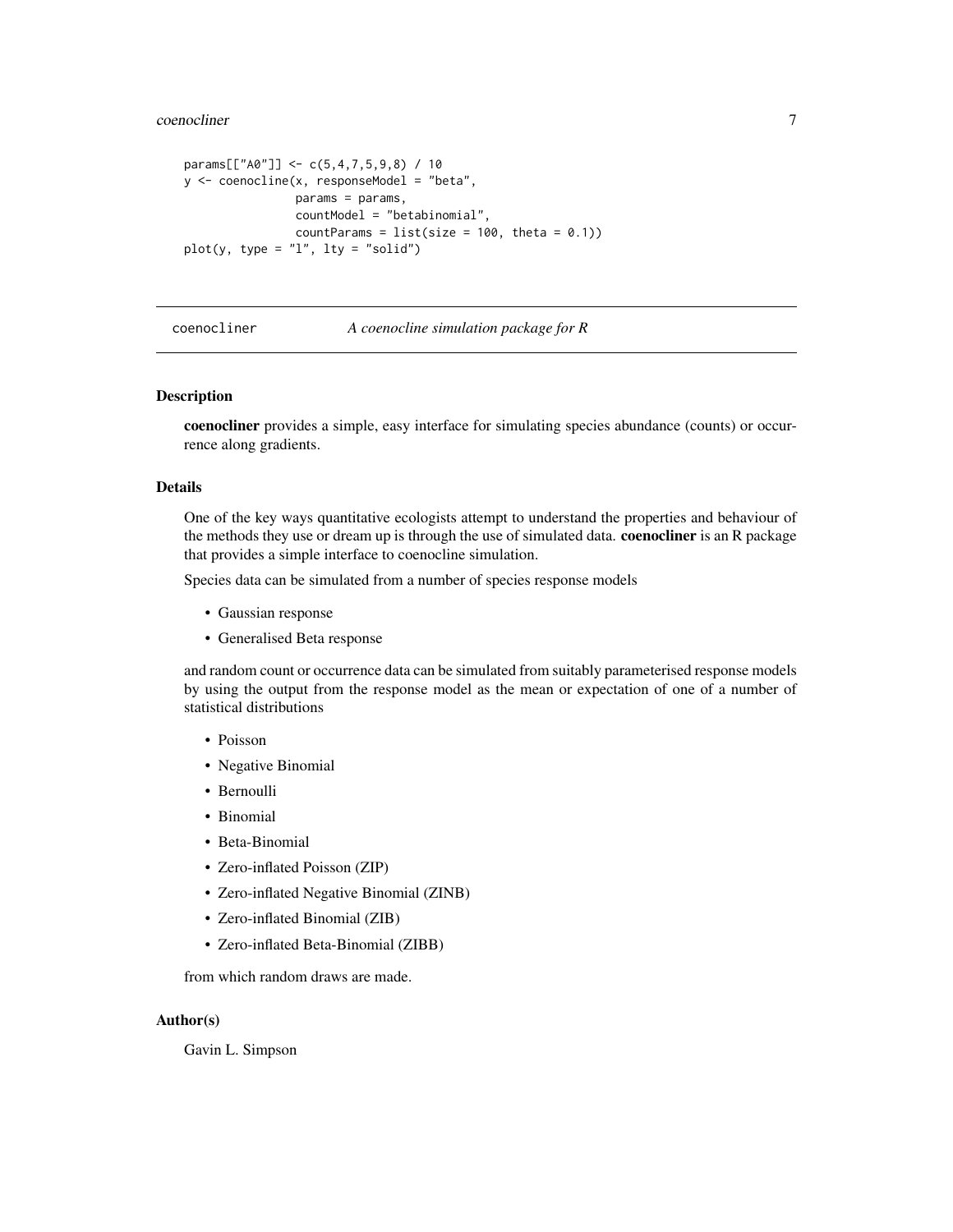<span id="page-6-0"></span>coenocliner 7

```
params[["A0"]] <- c(5,4,7,5,9,8) / 10
y <- coenocline(x, responseModel = "beta",
               params = params,
                countModel = "betabinomial",
               countParams = list(size = 100, theta = 0.1))plot(y, type = "1", lty = "solid")
```
#### coenocliner *A coenocline simulation package for R*

#### Description

coenocliner provides a simple, easy interface for simulating species abundance (counts) or occurrence along gradients.

#### Details

One of the key ways quantitative ecologists attempt to understand the properties and behaviour of the methods they use or dream up is through the use of simulated data. **coenocliner** is an R package that provides a simple interface to coenocline simulation.

Species data can be simulated from a number of species response models

- Gaussian response
- Generalised Beta response

and random count or occurrence data can be simulated from suitably parameterised response models by using the output from the response model as the mean or expectation of one of a number of statistical distributions

- Poisson
- Negative Binomial
- Bernoulli
- Binomial
- Beta-Binomial
- Zero-inflated Poisson (ZIP)
- Zero-inflated Negative Binomial (ZINB)
- Zero-inflated Binomial (ZIB)
- Zero-inflated Beta-Binomial (ZIBB)

from which random draws are made.

#### Author(s)

Gavin L. Simpson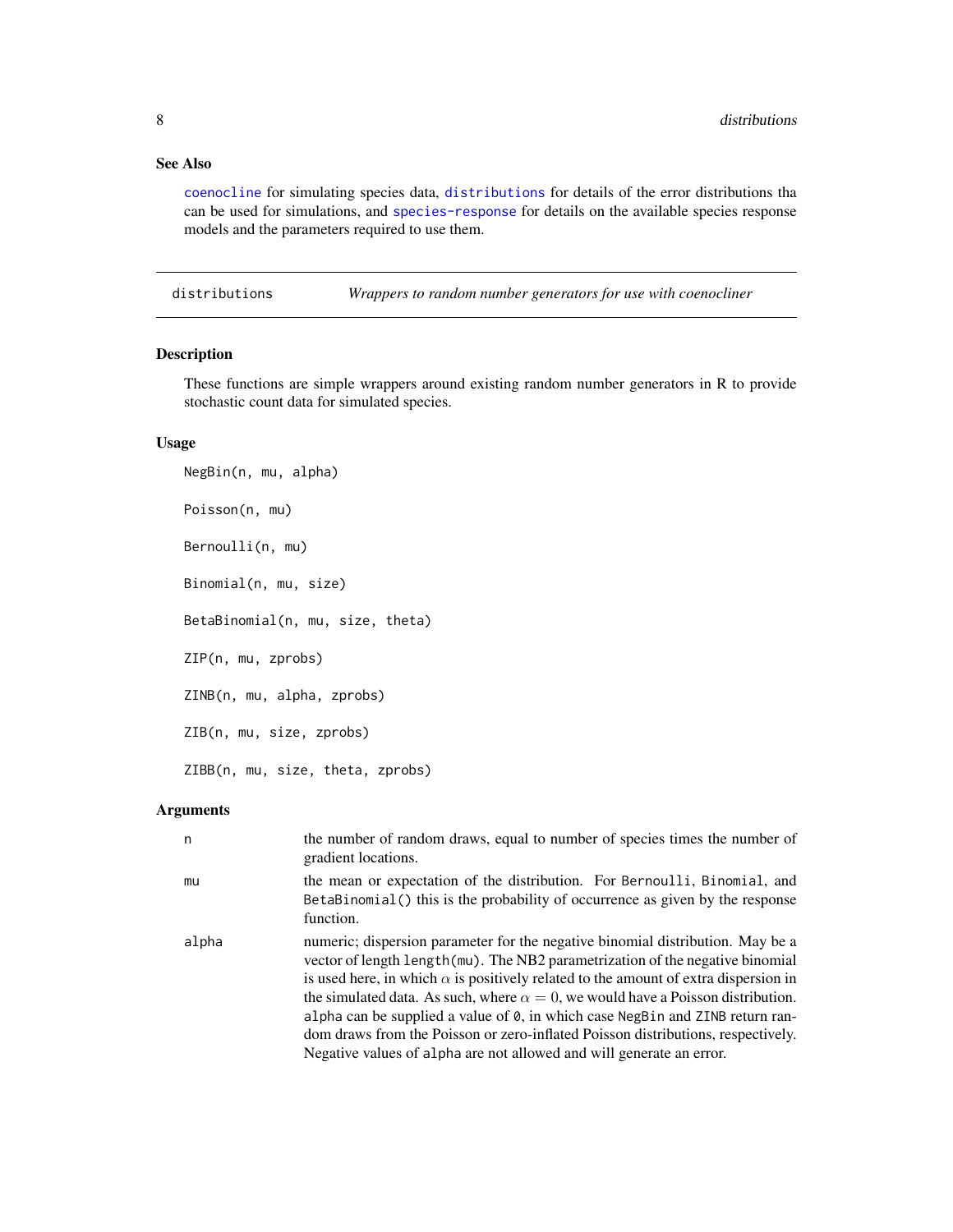#### <span id="page-7-0"></span>See Also

[coenocline](#page-1-1) for simulating species data, [distributions](#page-7-1) for details of the error distributions tha can be used for simulations, and [species-response](#page-15-1) for details on the available species response models and the parameters required to use them.

<span id="page-7-1"></span>distributions *Wrappers to random number generators for use with coenocliner*

#### Description

These functions are simple wrappers around existing random number generators in R to provide stochastic count data for simulated species.

#### Usage

NegBin(n, mu, alpha) Poisson(n, mu) Bernoulli(n, mu) Binomial(n, mu, size) BetaBinomial(n, mu, size, theta) ZIP(n, mu, zprobs) ZINB(n, mu, alpha, zprobs) ZIB(n, mu, size, zprobs) ZIBB(n, mu, size, theta, zprobs)

#### Arguments

| n     | the number of random draws, equal to number of species times the number of<br>gradient locations.                                                                                                                                                                                                                                                                                                                                                                                                                                                                                                              |
|-------|----------------------------------------------------------------------------------------------------------------------------------------------------------------------------------------------------------------------------------------------------------------------------------------------------------------------------------------------------------------------------------------------------------------------------------------------------------------------------------------------------------------------------------------------------------------------------------------------------------------|
| mu    | the mean or expectation of the distribution. For Bernoulli, Binomial, and<br>BetaBinomial () this is the probability of occurrence as given by the response<br>function.                                                                                                                                                                                                                                                                                                                                                                                                                                       |
| alpha | numeric; dispersion parameter for the negative binomial distribution. May be a<br>vector of length length (mu). The NB2 parametrization of the negative binomial<br>is used here, in which $\alpha$ is positively related to the amount of extra dispersion in<br>the simulated data. As such, where $\alpha = 0$ , we would have a Poisson distribution.<br>alpha can be supplied a value of $\theta$ , in which case NegBin and ZINB return ran-<br>dom draws from the Poisson or zero-inflated Poisson distributions, respectively.<br>Negative values of alpha are not allowed and will generate an error. |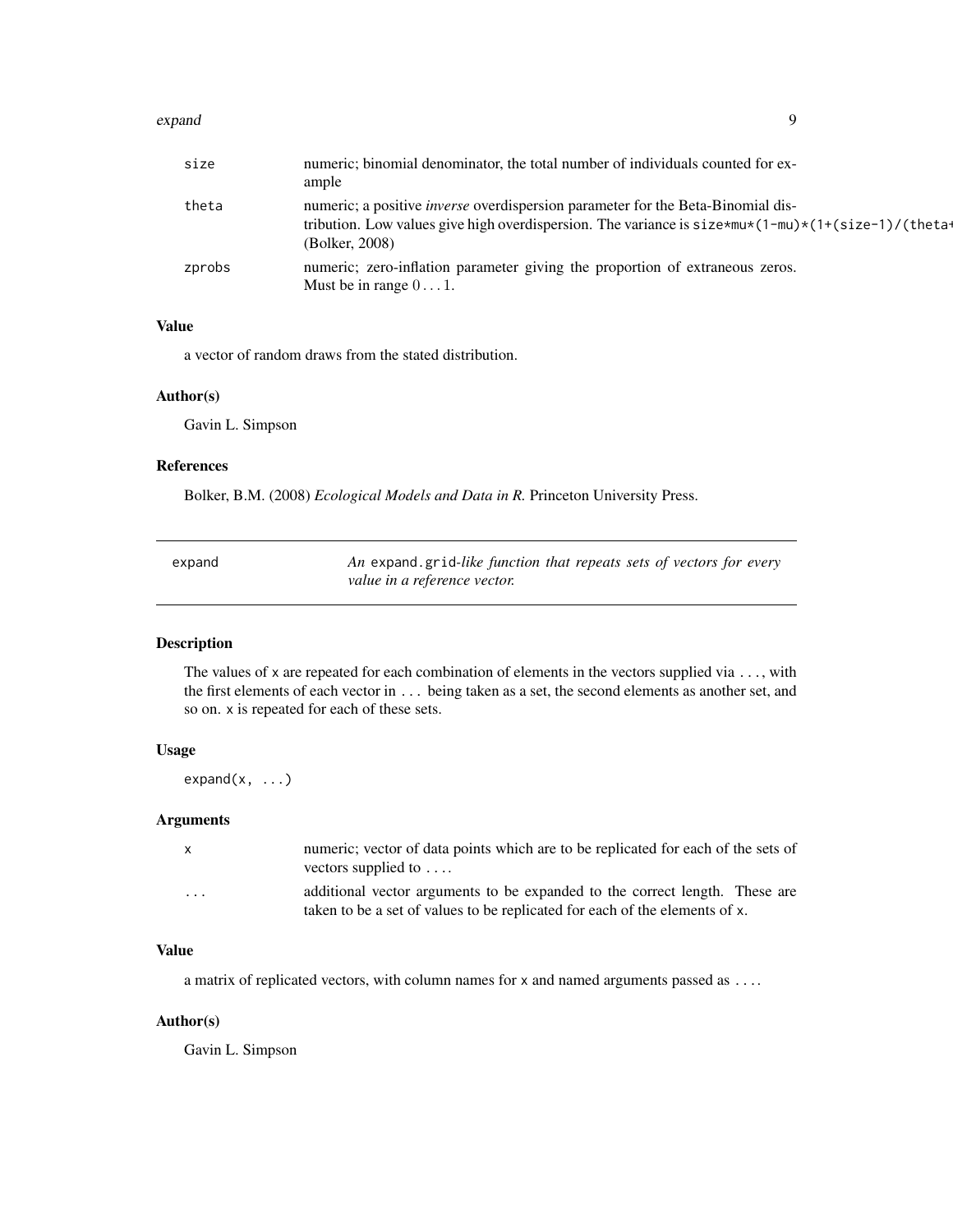#### <span id="page-8-0"></span>expand 9

| size   | numeric; binomial denominator, the total number of individuals counted for ex-<br>ample                                                                                                                             |
|--------|---------------------------------------------------------------------------------------------------------------------------------------------------------------------------------------------------------------------|
| theta  | numeric; a positive <i>inverse</i> overdispersion parameter for the Beta-Binomial dis-<br>tribution. Low values give high overdispersion. The variance is $size*mu*(1-mu)*(1+(size-1)/(theta-1))$<br>(Bolker, 2008) |
| zprobs | numeric; zero-inflation parameter giving the proportion of extraneous zeros.<br>Must be in range $0 \dots 1$ .                                                                                                      |

### Value

a vector of random draws from the stated distribution.

#### Author(s)

Gavin L. Simpson

#### References

Bolker, B.M. (2008) *Ecological Models and Data in R.* Princeton University Press.

| expand | An expand grid-like function that repeats sets of vectors for every |
|--------|---------------------------------------------------------------------|
|        | value in a reference vector.                                        |

#### Description

The values of x are repeated for each combination of elements in the vectors supplied via  $\dots$ , with the first elements of each vector in ... being taken as a set, the second elements as another set, and so on. x is repeated for each of these sets.

#### Usage

 $expand(x, \ldots)$ 

#### Arguments

| $\mathsf{x}$ | numeric; vector of data points which are to be replicated for each of the sets of<br>vectors supplied to $\dots$                                           |
|--------------|------------------------------------------------------------------------------------------------------------------------------------------------------------|
| .            | additional vector arguments to be expanded to the correct length. These are<br>taken to be a set of values to be replicated for each of the elements of x. |

#### Value

a matrix of replicated vectors, with column names for x and named arguments passed as ....

#### Author(s)

Gavin L. Simpson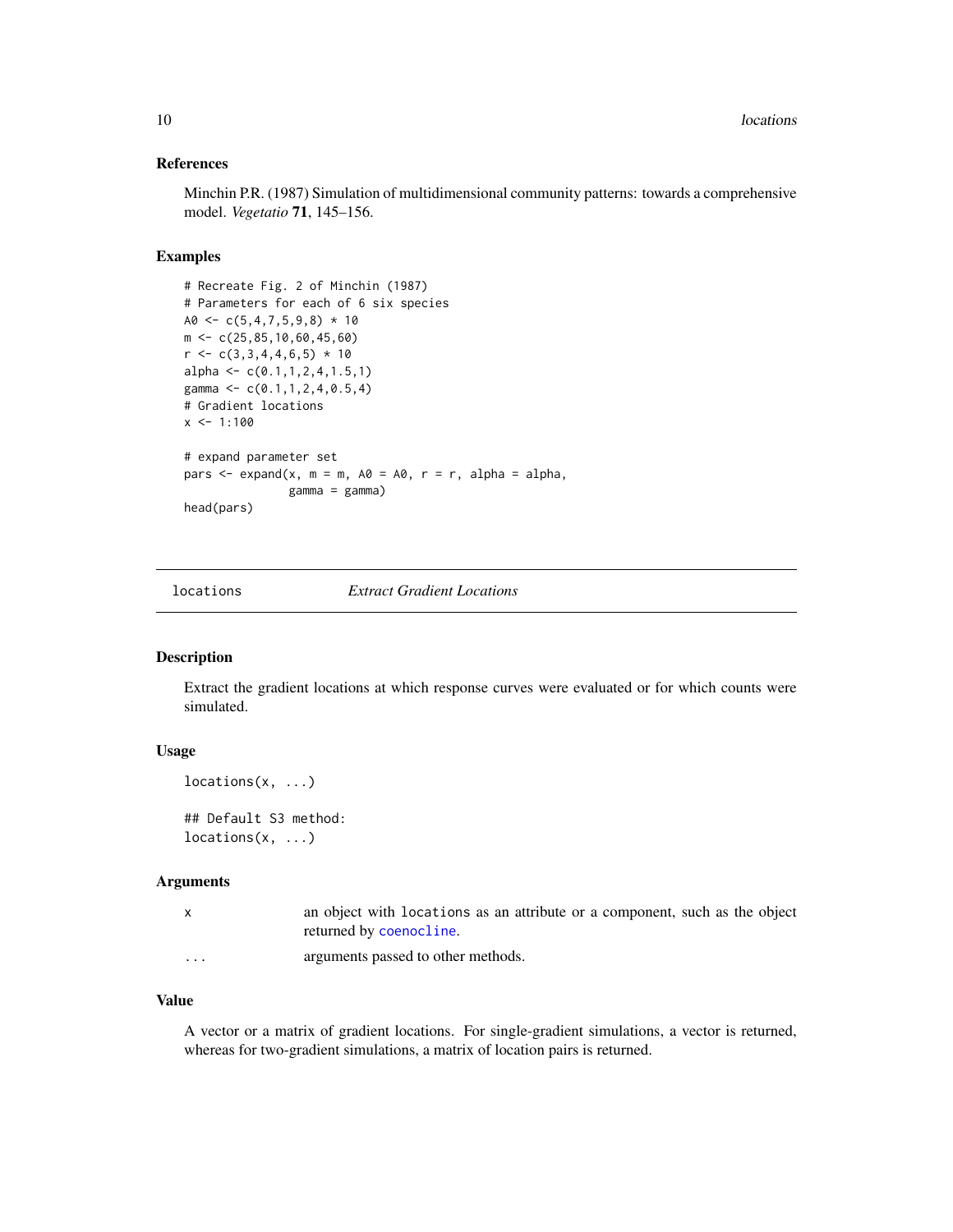#### <span id="page-9-0"></span>References

Minchin P.R. (1987) Simulation of multidimensional community patterns: towards a comprehensive model. *Vegetatio* 71, 145–156.

#### Examples

```
# Recreate Fig. 2 of Minchin (1987)
# Parameters for each of 6 six species
A0 \leq C \leq (5, 4, 7, 5, 9, 8) \times 10m \leq -c(25, 85, 10, 60, 45, 60)r < -c(3,3,4,4,6,5) * 10alpha <- c(0.1, 1, 2, 4, 1.5, 1)gamma <- c(0.1, 1, 2, 4, 0.5, 4)# Gradient locations
x \le -1:100# expand parameter set
pars \leq expand(x, m = m, A0 = A0, r = r, alpha = alpha,
                gamma = gamma)
head(pars)
```
locations *Extract Gradient Locations*

#### Description

Extract the gradient locations at which response curves were evaluated or for which counts were simulated.

#### Usage

```
locations(x, \ldots)
```
## Default S3 method:  $locations(x, \ldots)$ 

#### Arguments

| an object with locations as an attribute or a component, such as the object |
|-----------------------------------------------------------------------------|
| returned by coenocline.                                                     |
|                                                                             |

... arguments passed to other methods.

#### Value

A vector or a matrix of gradient locations. For single-gradient simulations, a vector is returned, whereas for two-gradient simulations, a matrix of location pairs is returned.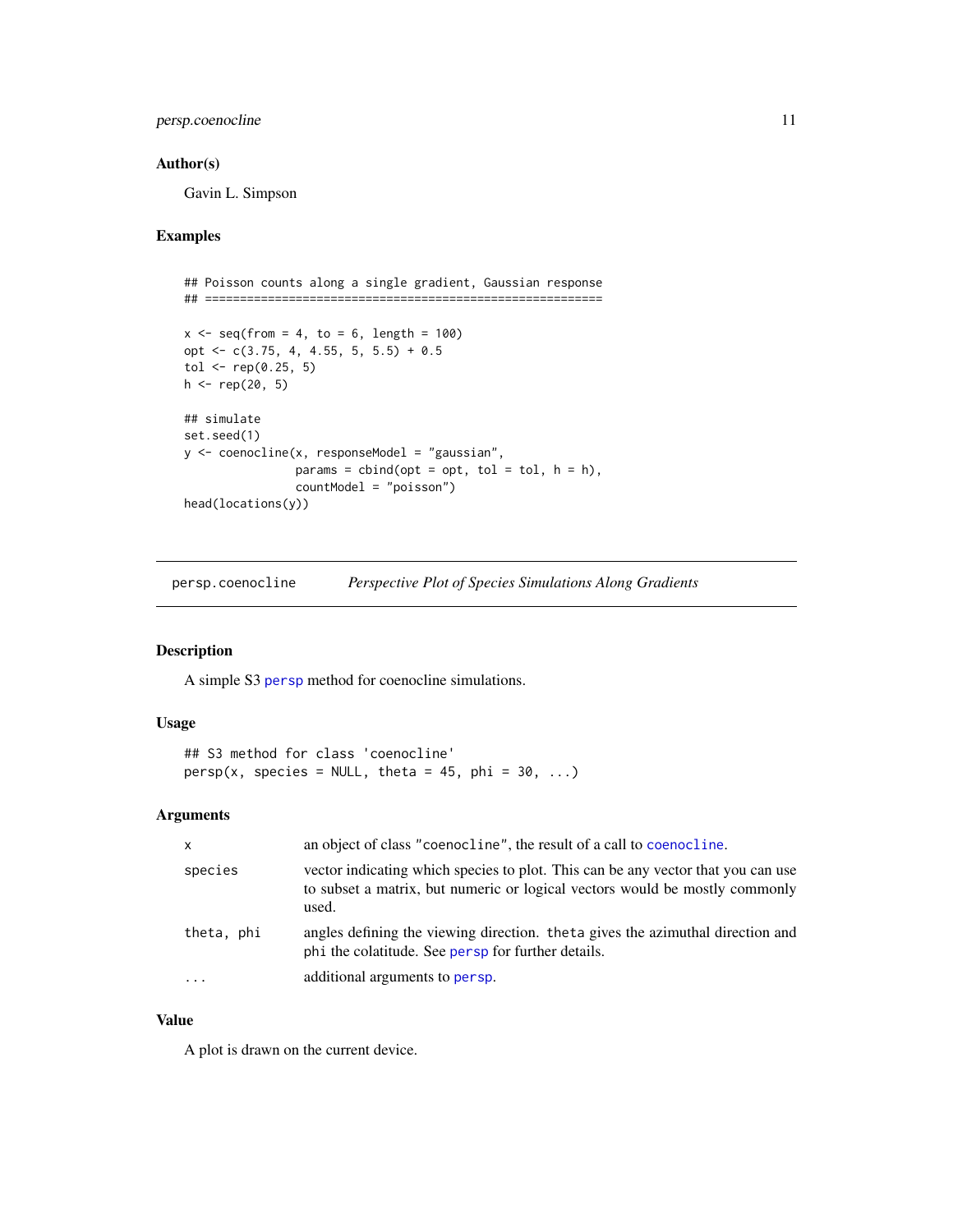#### <span id="page-10-0"></span>persp.coenocline 11

#### Author(s)

Gavin L. Simpson

#### Examples

```
## Poisson counts along a single gradient, Gaussian response
## =========================================================
x \leq -\text{seq}(\text{from} = 4, \text{to} = 6, \text{length} = 100)opt <- c(3.75, 4, 4.55, 5, 5.5) + 0.5
tol <- rep(0.25, 5)h \leq rep(20, 5)## simulate
set.seed(1)
y <- coenocline(x, responseModel = "gaussian",
                 params = child(opt = opt, tol = tol, h = h),countModel = "poisson")
head(locations(y))
```
persp.coenocline *Perspective Plot of Species Simulations Along Gradients*

#### Description

A simple S3 [persp](#page-0-0) method for coenocline simulations.

#### Usage

```
## S3 method for class 'coenocline'
persp(x, species = NULL, theta = 45, phi = 30, ...)
```
#### Arguments

| <b>X</b>   | an object of class "coenocline", the result of a call to coenocline.                                                                                                     |
|------------|--------------------------------------------------------------------------------------------------------------------------------------------------------------------------|
| species    | vector indicating which species to plot. This can be any vector that you can use<br>to subset a matrix, but numeric or logical vectors would be mostly commonly<br>used. |
| theta, phi | angles defining the viewing direction. theta gives the azimuthal direction and<br>phi the colatitude. See persp for further details.                                     |
| $\cdots$   | additional arguments to persp.                                                                                                                                           |

#### Value

A plot is drawn on the current device.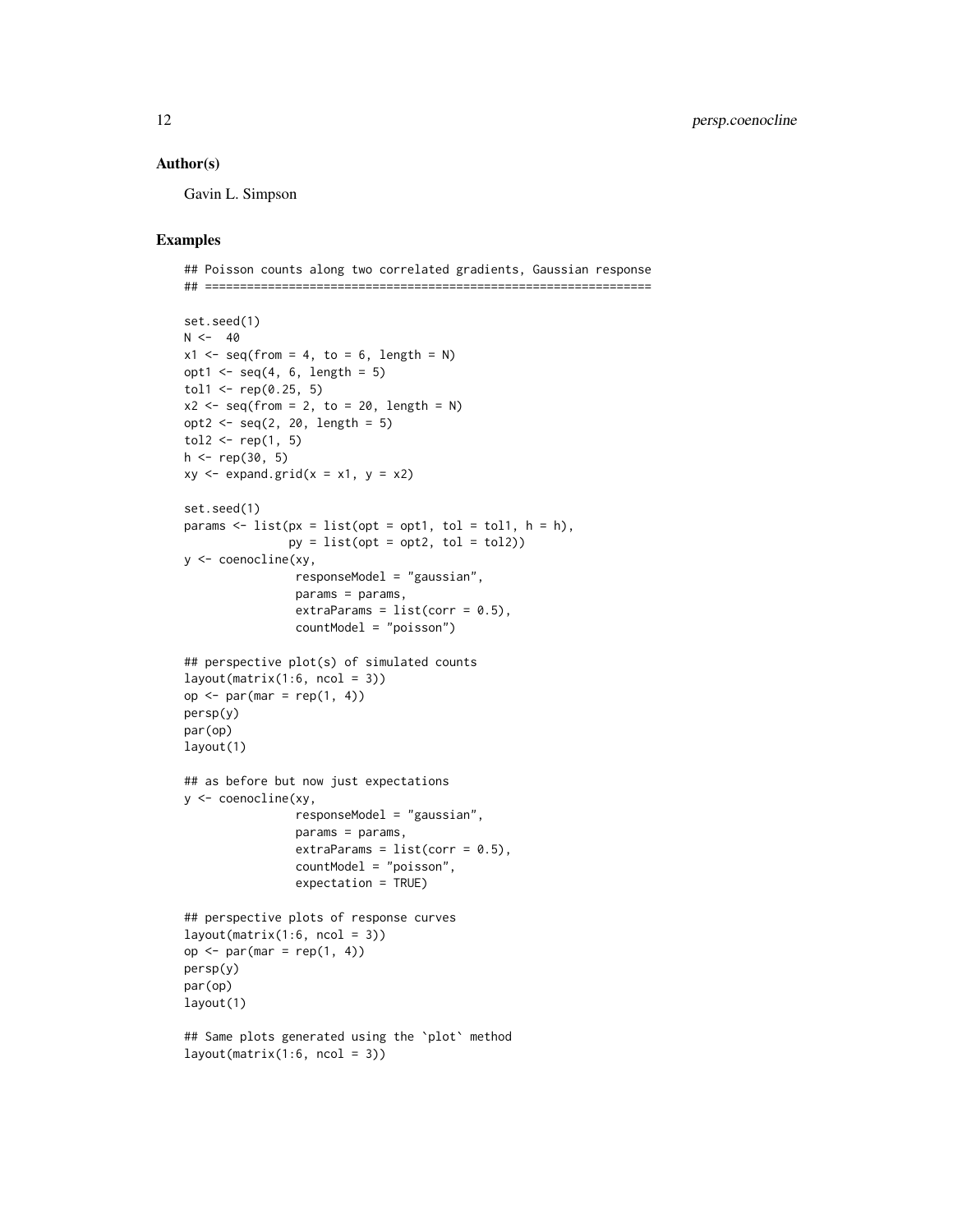#### Author(s)

Gavin L. Simpson

```
## Poisson counts along two correlated gradients, Gaussian response
## ================================================================
set.seed(1)
N < -40x1 \leq -\text{seq}(\text{from} = 4, \text{to} = 6, \text{length} = N)opt1 \leq seq(4, 6, length = 5)
tol1 <- rep(0.25, 5)x2 \leq -\text{seq}(\text{from} = 2, \text{to} = 20, \text{length} = \text{N})opt2 \leq -seq(2, 20, length = 5)tol2 \leftarrow rep(1, 5)h <- rep(30, 5)
xy \leq - expand.grid(x = x1, y = x2)
set.seed(1)
params \le list(px = list(opt = opt1, tol = tol1, h = h),
                py = list(opt = opt2, tol = tol2))y <- coenocline(xy,
                 responseModel = "gaussian",
                 params = params,
                 extraParams = list(corr = 0.5),
                 countModel = "poisson")
## perspective plot(s) of simulated counts
layout(matrix(1:6, ncol = 3))op <- par(mar = rep(1, 4))
persp(y)
par(op)
layout(1)
## as before but now just expectations
y <- coenocline(xy,
                 responseModel = "gaussian",
                 params = params,
                 extraParams = list(corr = 0.5),
                 countModel = "poisson",
                 expectation = TRUE)
## perspective plots of response curves
layout(matrix(1:6, ncol = 3))op <- par(mar = rep(1, 4))
persp(y)
par(op)
layout(1)
## Same plots generated using the `plot` method
layout(matrix(1:6, ncol = 3))
```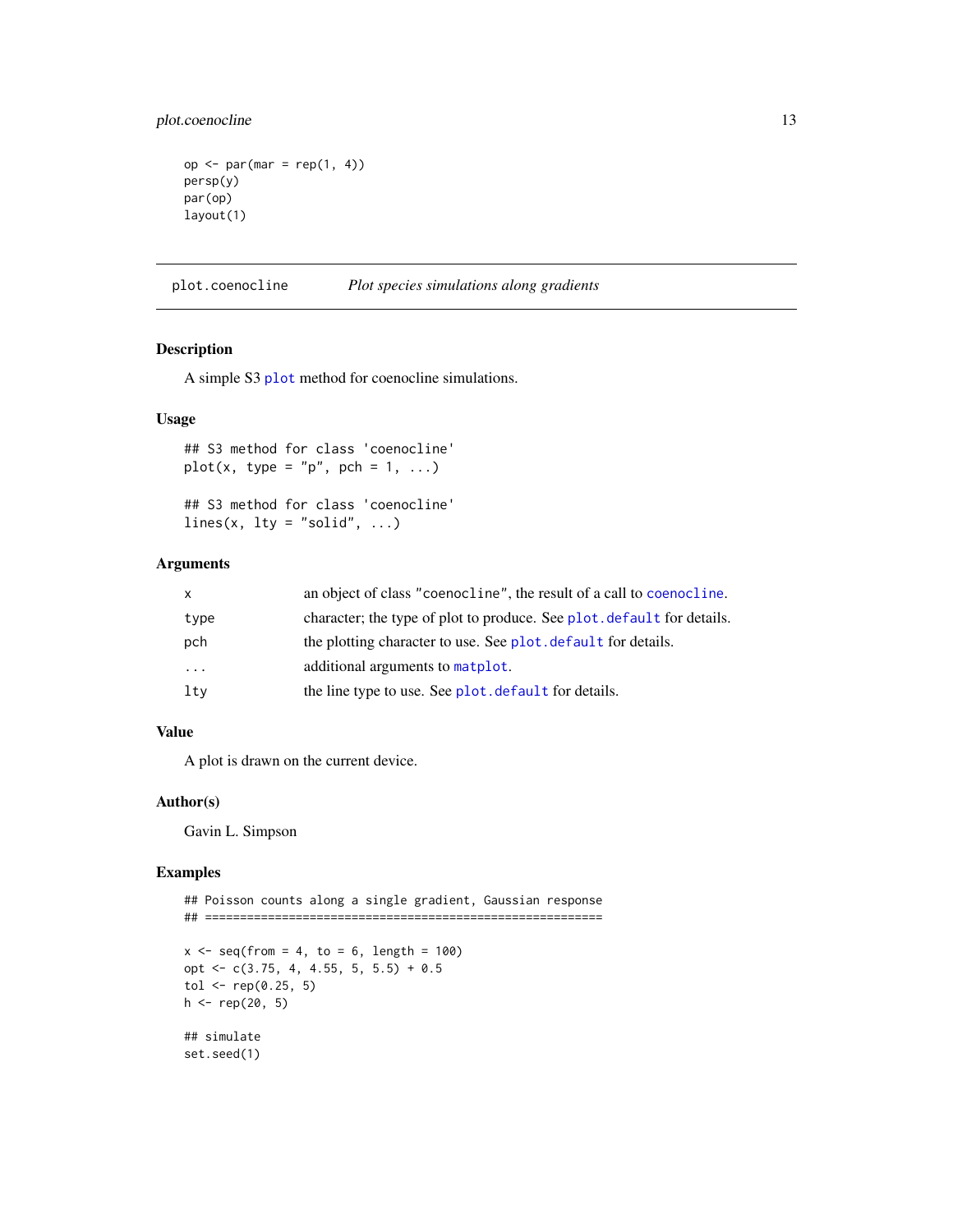<span id="page-12-0"></span>plot.coenocline 13

```
op <- par(mar = rep(1, 4))
persp(y)
par(op)
layout(1)
```
plot.coenocline *Plot species simulations along gradients*

#### Description

A simple S3 [plot](#page-0-0) method for coenocline simulations.

#### Usage

## S3 method for class 'coenocline'  $plot(x, type = "p", pch = 1, ...)$ ## S3 method for class 'coenocline' lines(x,  $lty = "solid", ...)$ 

#### Arguments

| $\mathsf{x}$ | an object of class "coenocline", the result of a call to coenocline.   |
|--------------|------------------------------------------------------------------------|
| type         | character; the type of plot to produce. See plot. default for details. |
| pch          | the plotting character to use. See plot, default for details.          |
| .            | additional arguments to matplot.                                       |
| lty          | the line type to use. See plot. default for details.                   |

#### Value

A plot is drawn on the current device.

#### Author(s)

Gavin L. Simpson

```
## Poisson counts along a single gradient, Gaussian response
## =========================================================
```

```
x \le - seq(from = 4, to = 6, length = 100)
opt <- c(3.75, 4, 4.55, 5, 5.5) + 0.5
tol <- rep(0.25, 5)h \leq - rep(20, 5)## simulate
set.seed(1)
```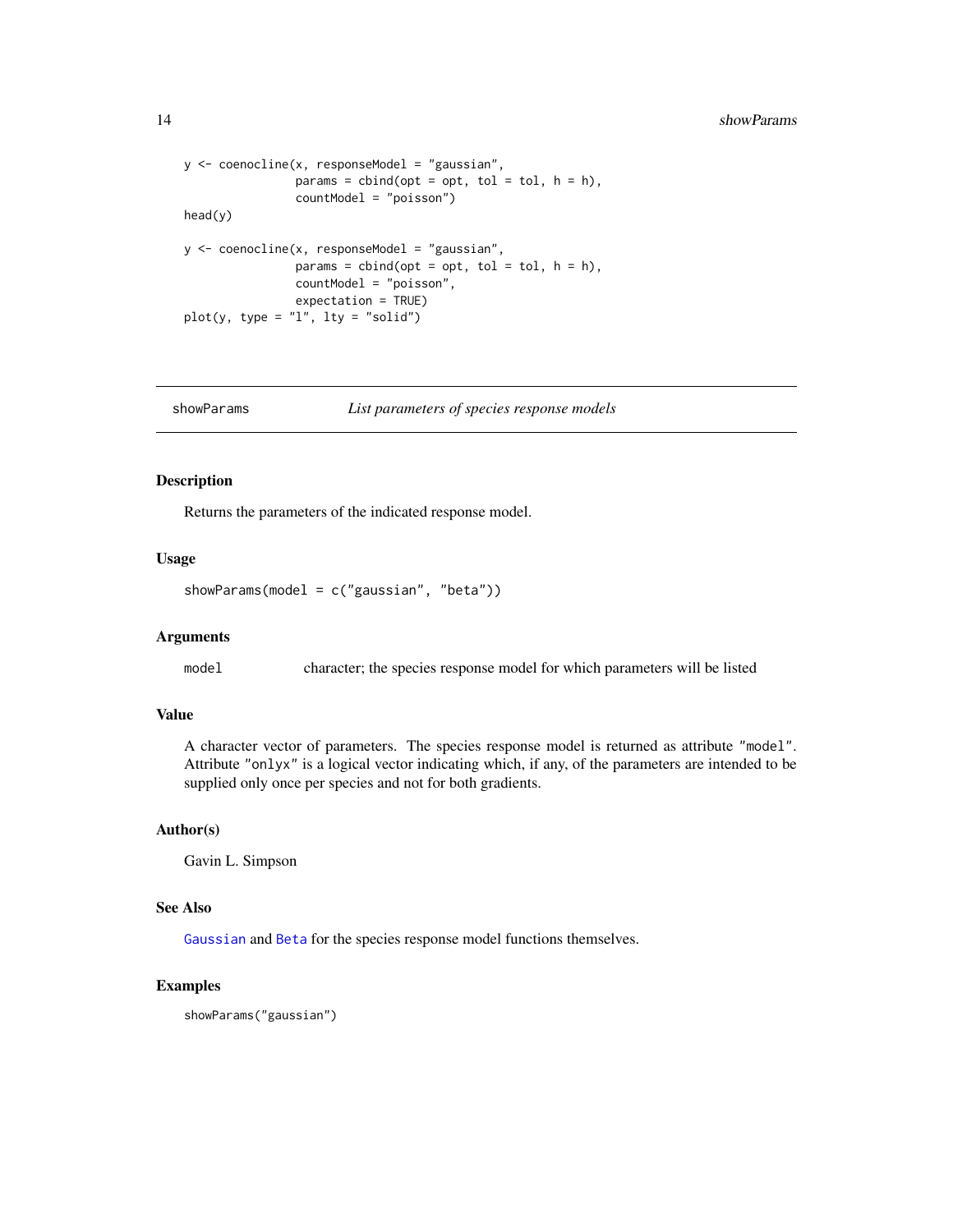```
y <- coenocline(x, responseModel = "gaussian",
                params = cbind(opt = opt, tol = tol, h = h),
                countModel = "poisson")
head(y)
y <- coenocline(x, responseModel = "gaussian",
                params = cbind(opt = opt, tol = tol, h = h),
                countModel = "poisson",
                expectation = TRUE)
plot(y, type = "1", lty = "solid")
```
showParams *List parameters of species response models*

#### Description

Returns the parameters of the indicated response model.

#### Usage

```
showParams(model = c("gaussian", "beta"))
```
#### Arguments

model character; the species response model for which parameters will be listed

#### Value

A character vector of parameters. The species response model is returned as attribute "model". Attribute "onlyx" is a logical vector indicating which, if any, of the parameters are intended to be supplied only once per species and not for both gradients.

#### Author(s)

Gavin L. Simpson

#### See Also

[Gaussian](#page-15-2) and [Beta](#page-15-2) for the species response model functions themselves.

#### Examples

showParams("gaussian")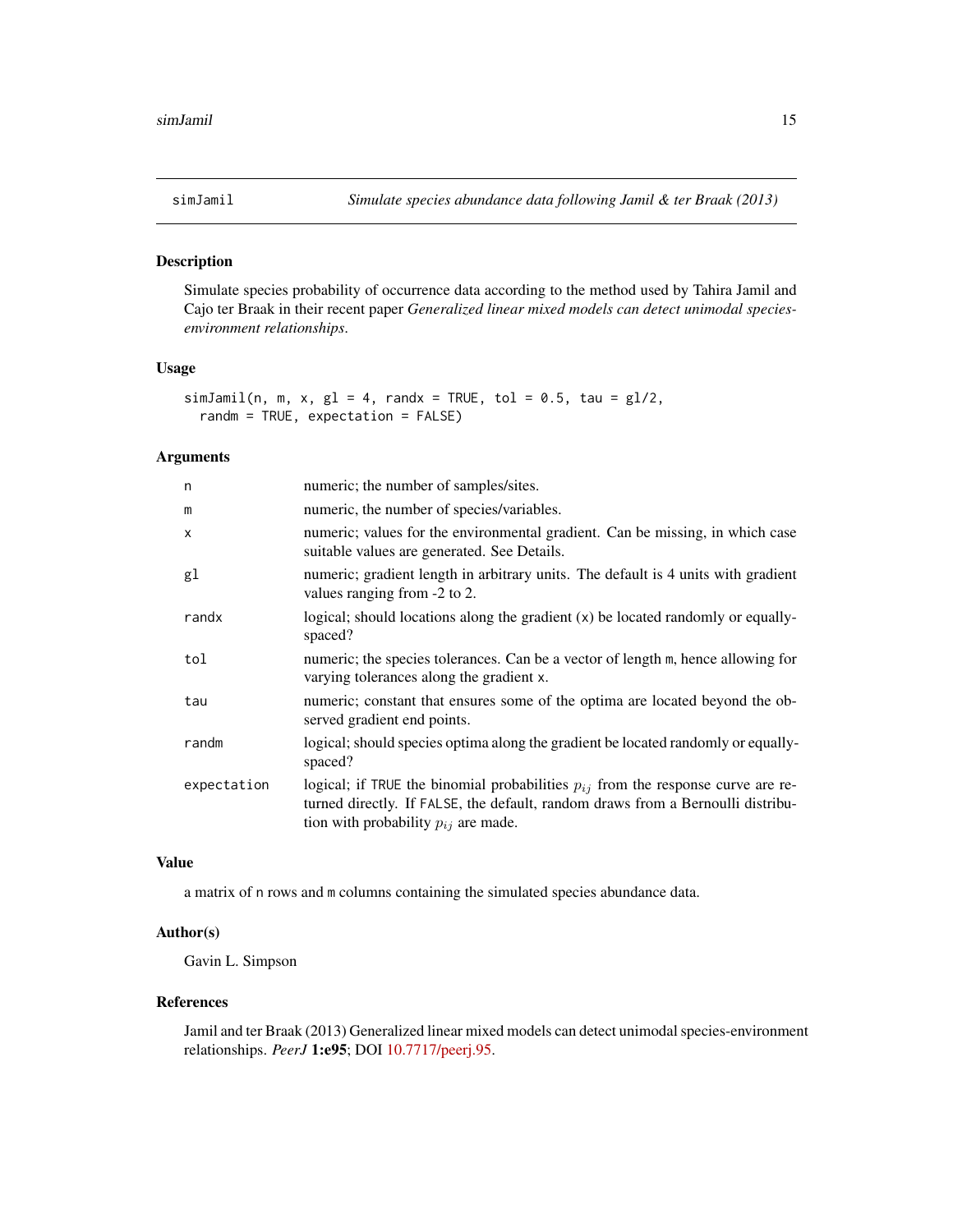<span id="page-14-0"></span>

#### Description

Simulate species probability of occurrence data according to the method used by Tahira Jamil and Cajo ter Braak in their recent paper *Generalized linear mixed models can detect unimodal speciesenvironment relationships*.

#### Usage

```
simJamil(n, m, x, gl = 4, randx = TRUE, tol = 0.5, tau = gl/2,
 randm = TRUE, expectation = FALSE)
```
#### Arguments

| numeric; the number of samples/sites.                                                                                                                                                                               |
|---------------------------------------------------------------------------------------------------------------------------------------------------------------------------------------------------------------------|
| numeric, the number of species/variables.                                                                                                                                                                           |
| numeric; values for the environmental gradient. Can be missing, in which case<br>suitable values are generated. See Details.                                                                                        |
| numeric; gradient length in arbitrary units. The default is 4 units with gradient<br>values ranging from -2 to 2.                                                                                                   |
| logical; should locations along the gradient $(x)$ be located randomly or equally-<br>spaced?                                                                                                                       |
| numeric; the species tolerances. Can be a vector of length m, hence allowing for<br>varying tolerances along the gradient x.                                                                                        |
| numeric; constant that ensures some of the optima are located beyond the ob-<br>served gradient end points.                                                                                                         |
| logical; should species optima along the gradient be located randomly or equally-<br>spaced?                                                                                                                        |
| logical; if TRUE the binomial probabilities $p_{ij}$ from the response curve are re-<br>turned directly. If FALSE, the default, random draws from a Bernoulli distribu-<br>tion with probability $p_{ij}$ are made. |
|                                                                                                                                                                                                                     |

#### Value

a matrix of n rows and m columns containing the simulated species abundance data.

#### Author(s)

Gavin L. Simpson

#### References

Jamil and ter Braak (2013) Generalized linear mixed models can detect unimodal species-environment relationships. *PeerJ* 1:e95; DOI [10.7717/peerj.95.](http://doi.org/10.7717/peerj.95)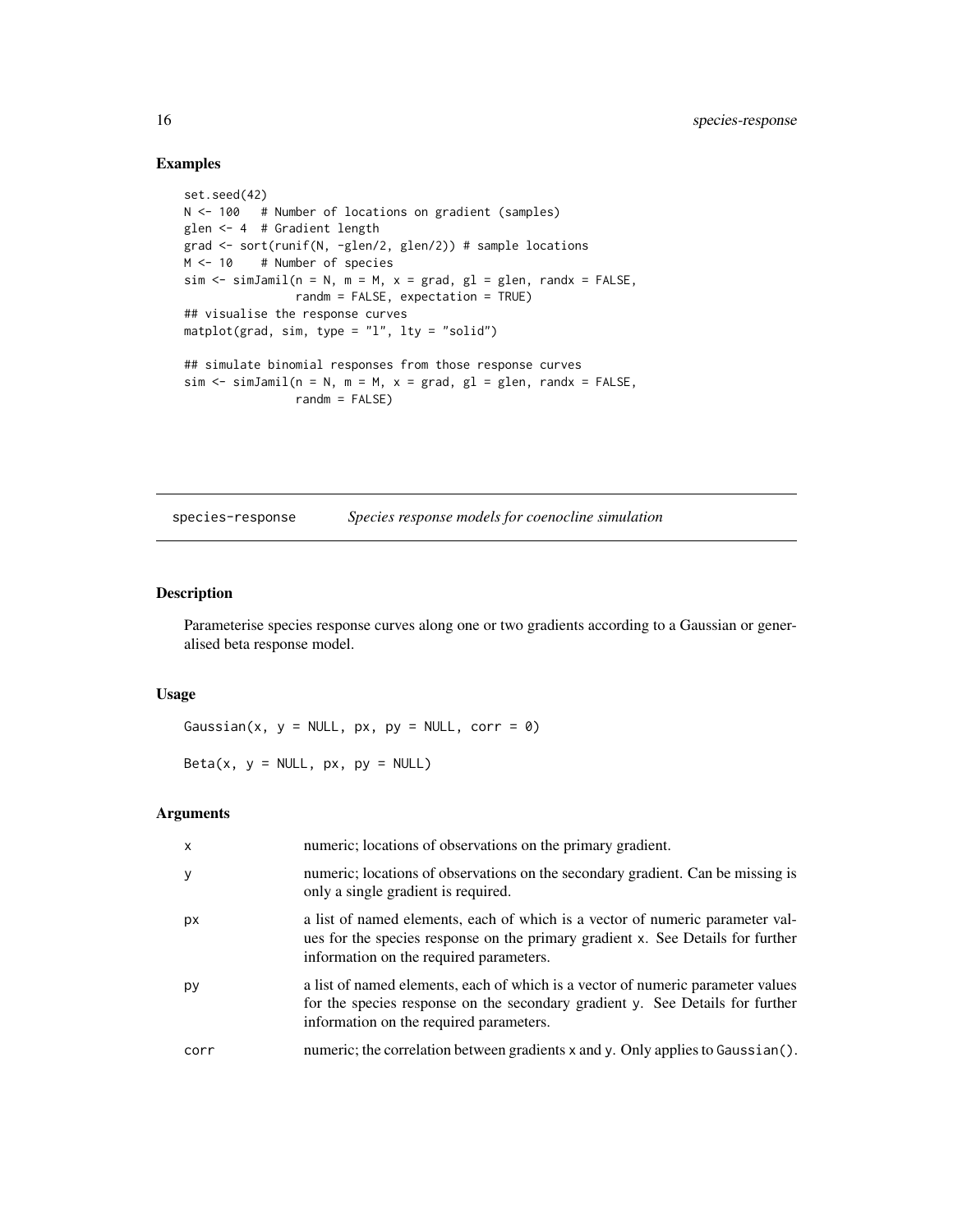#### Examples

```
set.seed(42)
N <- 100 # Number of locations on gradient (samples)
glen <- 4 # Gradient length
grad <- sort(runif(N, -glen/2, glen/2)) # sample locations
M <- 10 # Number of species
sim \le simJamil(n = N, m = M, x = grad, gl = glen, randx = FALSE,
               randm = FALSE, expectation = TRUE)
## visualise the response curves
matplot(grad, sim, type = "l", lty = "solid")
## simulate binomial responses from those response curves
sim < simJamil(n = N, m = M, x = grad, gl = glen, randx = FALSE,
               randm = FALSE)
```
<span id="page-15-1"></span>species-response *Species response models for coenocline simulation*

#### <span id="page-15-2"></span>Description

Parameterise species response curves along one or two gradients according to a Gaussian or generalised beta response model.

#### Usage

Gaussian(x,  $y = NULL$ ,  $px$ ,  $py = NULL$ ,  $corr = 0$ )

Beta(x,  $y = NULL$ ,  $px$ ,  $py = NULL$ )

#### Arguments

| X    | numeric; locations of observations on the primary gradient.                                                                                                                                                 |
|------|-------------------------------------------------------------------------------------------------------------------------------------------------------------------------------------------------------------|
| У    | numeric; locations of observations on the secondary gradient. Can be missing is<br>only a single gradient is required.                                                                                      |
| рx   | a list of named elements, each of which is a vector of numeric parameter val-<br>ues for the species response on the primary gradient x. See Details for further<br>information on the required parameters. |
| py   | a list of named elements, each of which is a vector of numeric parameter values<br>for the species response on the secondary gradient y. See Details for further<br>information on the required parameters. |
| corr | numeric; the correlation between gradients x and y. Only applies to Gaussian ().                                                                                                                            |

<span id="page-15-0"></span>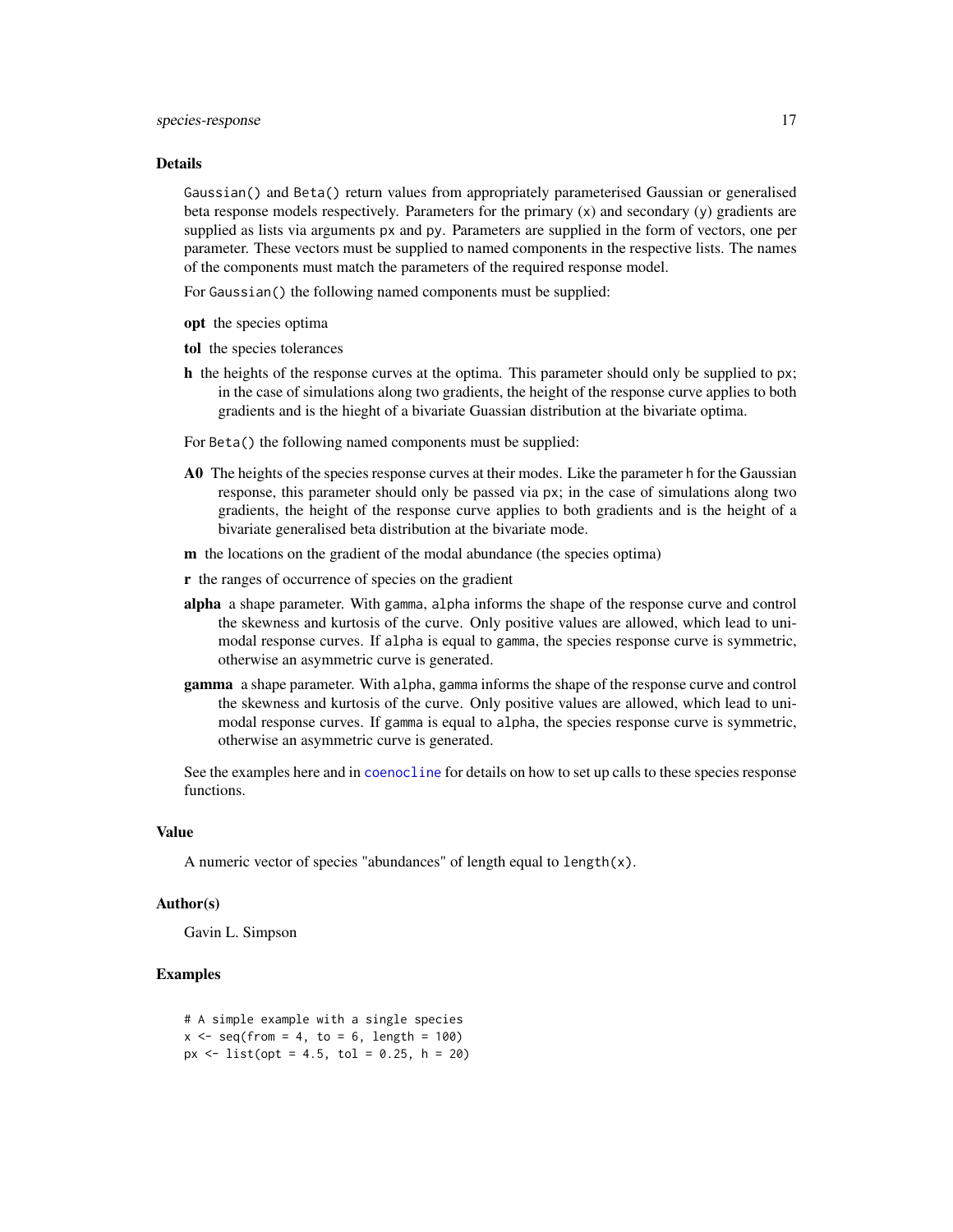#### <span id="page-16-0"></span>Details

Gaussian() and Beta() return values from appropriately parameterised Gaussian or generalised beta response models respectively. Parameters for the primary (x) and secondary (y) gradients are supplied as lists via arguments px and py. Parameters are supplied in the form of vectors, one per parameter. These vectors must be supplied to named components in the respective lists. The names of the components must match the parameters of the required response model.

For Gaussian() the following named components must be supplied:

- opt the species optima
- tol the species tolerances
- h the heights of the response curves at the optima. This parameter should only be supplied to px; in the case of simulations along two gradients, the height of the response curve applies to both gradients and is the hieght of a bivariate Guassian distribution at the bivariate optima.
- For Beta() the following named components must be supplied:
- A0 The heights of the species response curves at their modes. Like the parameter h for the Gaussian response, this parameter should only be passed via px; in the case of simulations along two gradients, the height of the response curve applies to both gradients and is the height of a bivariate generalised beta distribution at the bivariate mode.
- m the locations on the gradient of the modal abundance (the species optima)
- r the ranges of occurrence of species on the gradient
- alpha a shape parameter. With gamma, alpha informs the shape of the response curve and control the skewness and kurtosis of the curve. Only positive values are allowed, which lead to unimodal response curves. If alpha is equal to gamma, the species response curve is symmetric, otherwise an asymmetric curve is generated.
- gamma a shape parameter. With alpha, gamma informs the shape of the response curve and control the skewness and kurtosis of the curve. Only positive values are allowed, which lead to unimodal response curves. If gamma is equal to alpha, the species response curve is symmetric, otherwise an asymmetric curve is generated.

See the examples here and in [coenocline](#page-1-1) for details on how to set up calls to these species response functions.

#### Value

A numeric vector of species "abundances" of length equal to length(x).

#### Author(s)

Gavin L. Simpson

```
# A simple example with a single species
x \le - seq(from = 4, to = 6, length = 100)
px < - list(opt = 4.5, tol = 0.25, h = 20)
```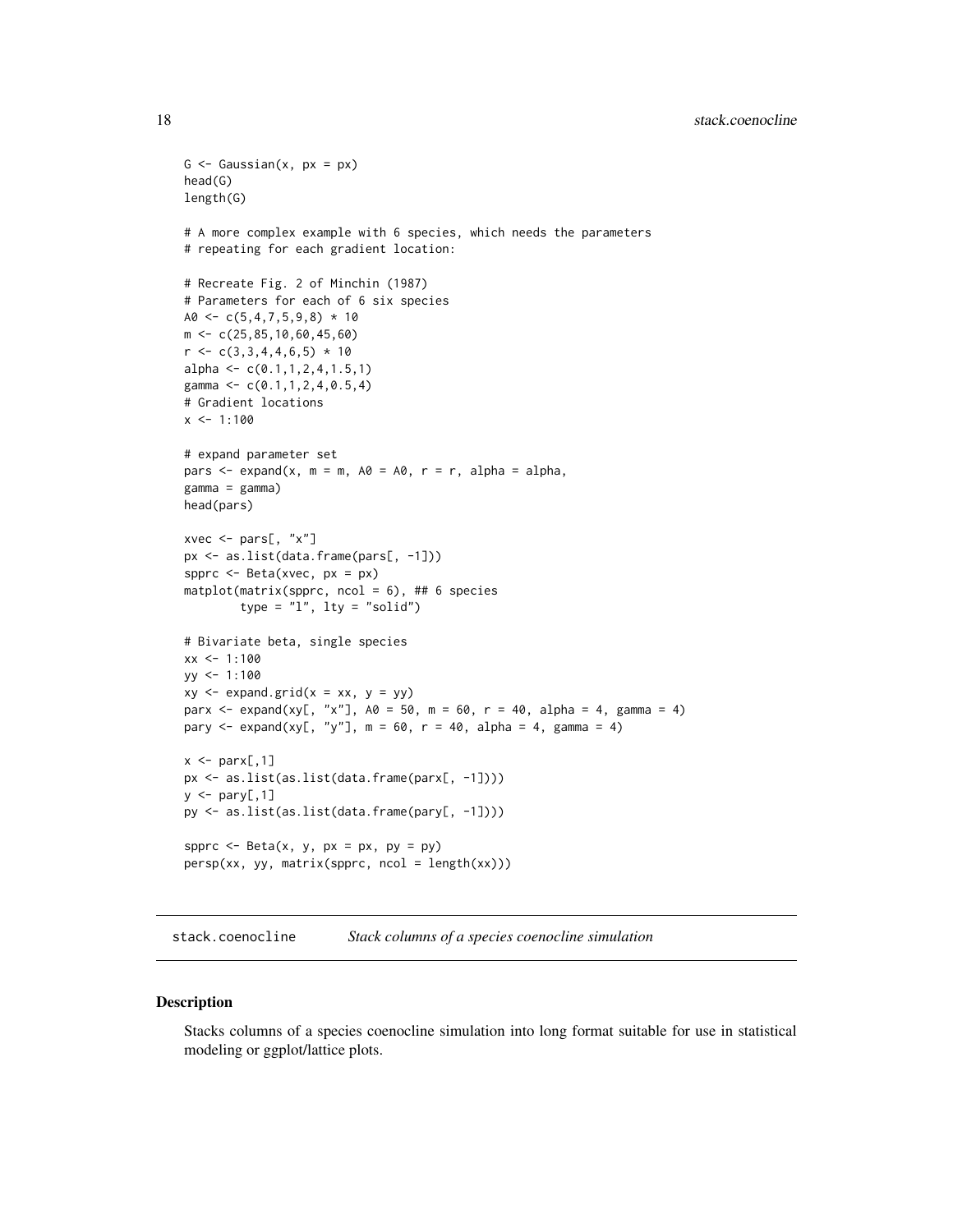```
G \leq - Gaussian(x, px = px)
head(G)
length(G)
# A more complex example with 6 species, which needs the parameters
# repeating for each gradient location:
# Recreate Fig. 2 of Minchin (1987)
# Parameters for each of 6 six species
A0 \leftarrow c(5,4,7,5,9,8) * 10m <- c(25,85,10,60,45,60)
r \leftarrow c(3,3,4,4,6,5) * 10alpha \leq c(0.1, 1, 2, 4, 1.5, 1)gamma \leq c(0.1, 1, 2, 4, 0.5, 4)# Gradient locations
x \le -1:100# expand parameter set
pars \leq expand(x, m = m, A0 = A0, r = r, alpha = alpha,
gamma = gamma)
head(pars)
xvec <- pars[, "x"]
px <- as.list(data.frame(pars[, -1]))
spprc <- Beta(xvec, px = px)
\text{matplot}(\text{matrix}(\text{spprc}, \text{ncol} = 6), \# \# 6 \text{ species})type = "1", lty = "solid")# Bivariate beta, single species
xx < -1:100yy <- 1:100
xy \leftarrow expand.grid(x = xx, y = yy)
parx <- expand(xy[, "x"], A0 = 50, m = 60, r = 40, alpha = 4, gamma = 4)
pary \leq expand(xy[, "y"], m = 60, r = 40, alpha = 4, gamma = 4)
x \leq -\text{parx}[,1]
px <- as.list(as.list(data.frame(parx[, -1])))
y \leftarrow pary[, 1]py <- as.list(as.list(data.frame(pary[, -1])))
spprc \leq Beta(x, y, px = px, py = py)
persp(xx, yy, matrix(spprc, ncol = length(xx)))
```
stack.coenocline *Stack columns of a species coenocline simulation*

#### Description

Stacks columns of a species coenocline simulation into long format suitable for use in statistical modeling or ggplot/lattice plots.

<span id="page-17-0"></span>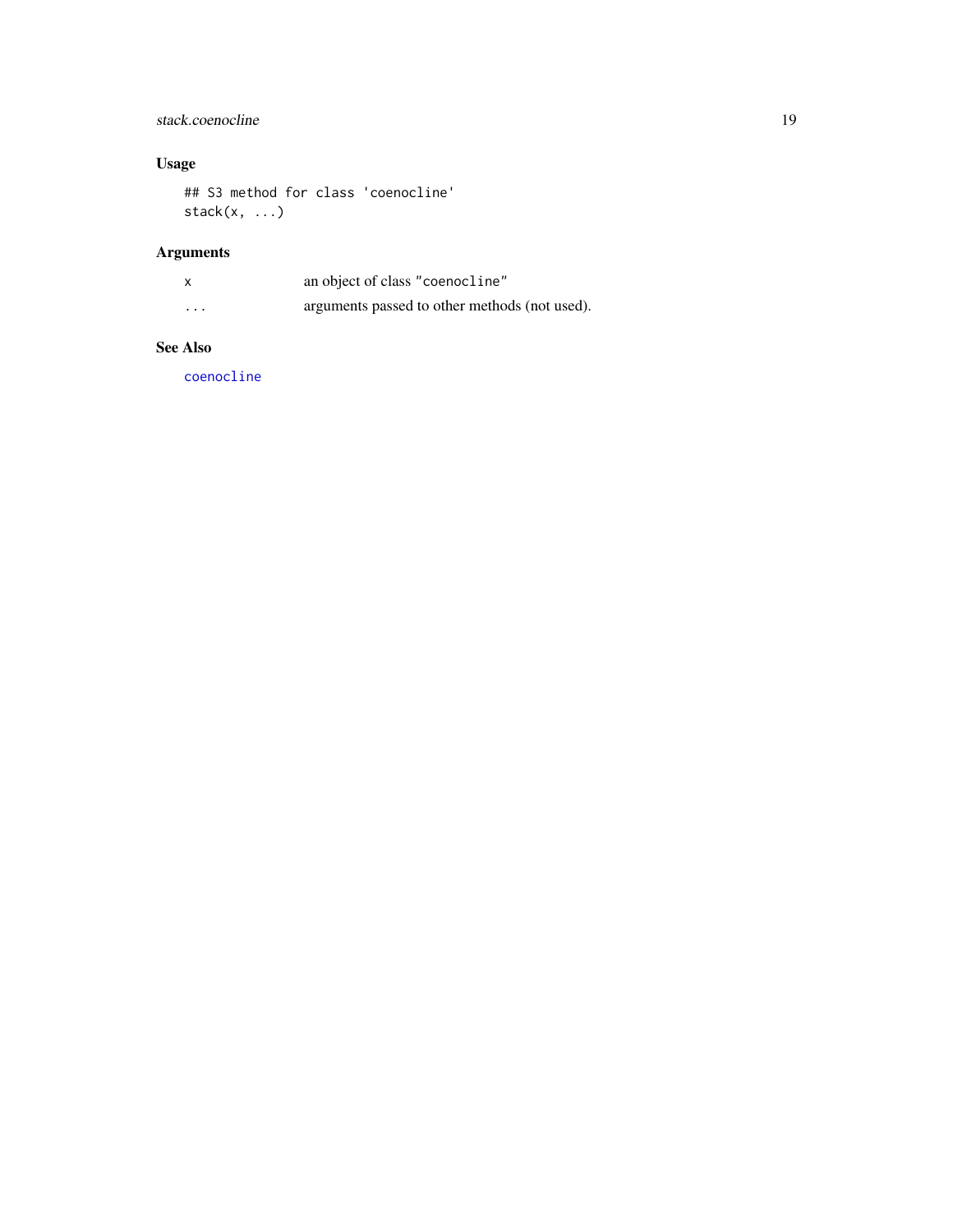### <span id="page-18-0"></span>stack.coenocline 19

### Usage

## S3 method for class 'coenocline'  $stack(x, ...)$ 

## Arguments

|          | an object of class "coenocline"               |
|----------|-----------------------------------------------|
| $\cdots$ | arguments passed to other methods (not used). |

#### See Also

[coenocline](#page-1-1)